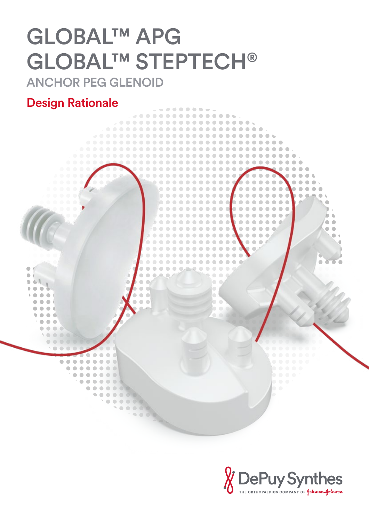# GLOBAL™ APG GLOBAL™ STEPTECH®

ANCHOR PEG GLENOID

## Design Rationale



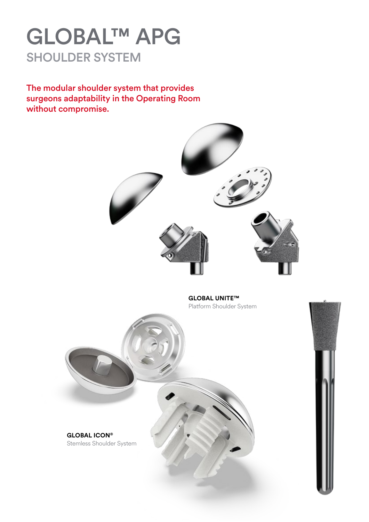## GLOBAL™ APG SHOULDER SYSTEM

The modular shoulder system that provides surgeons adaptability in the Operating Room without compromise.



**GLOBAL UNITE™** Platform Shoulder System



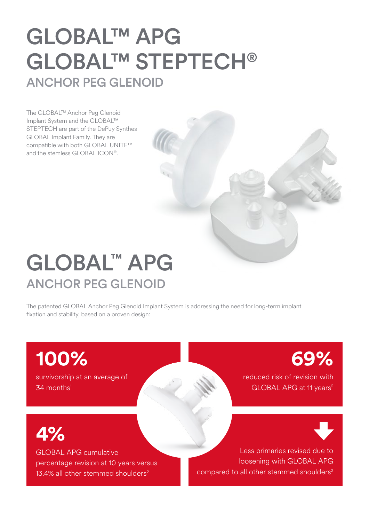## GLOBAL™ APG GLOBAL™ STEPTECH® ANCHOR PEG GLENOID

The GLOBAL™ Anchor Peg Glenoid Implant System and the GLOBAL™ STEPTECH are part of the DePuy Synthes GLOBAL Implant Family. They are compatible with both GLOBAL UNITE™ and the stemless GLOBAL ICON®.

## GLOBAL™ APG ANCHOR PEG GLENOID

The patented GLOBAL Anchor Peg Glenoid Implant System is addressing the need for long-term implant fixation and stability, based on a proven design:

**100%**  survivorship at an average of 34 months<sup>1</sup>

**69%**  reduced risk of revision with GLOBAL APG at 11 years<sup>2</sup>

**4%** 

GLOBAL APG cumulative percentage revision at 10 years versus 13.4% all other stemmed shoulders<sup>2</sup>

Less primaries revised due to loosening with GLOBAL APG compared to all other stemmed shoulders<sup>2</sup>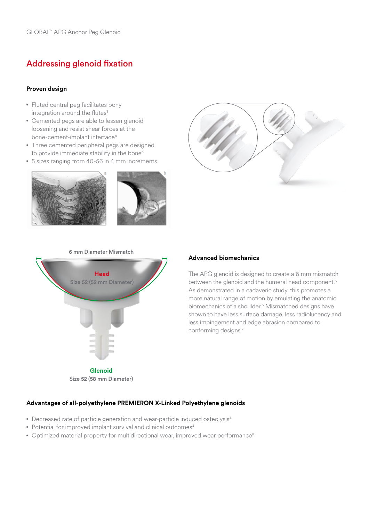## Addressing glenoid fixation

### **Proven design**

- Fluted central peg facilitates bony integration around the flutes $3$
- Cemented pegs are able to lessen glenoid loosening and resist shear forces at the bone-cement-implant interface<sup>4</sup>
- Three cemented peripheral pegs are designed to provide immediate stability in the bone<sup>3</sup>
- • 5 sizes ranging from 40-56 in 4 mm increments







### **Advanced biomechanics**

The APG glenoid is designed to create a 6 mm mismatch between the glenoid and the humeral head component.<sup>5</sup> As demonstrated in a cadaveric study, this promotes a more natural range of motion by emulating the anatomic biomechanics of a shoulder.<sup>6</sup> Mismatched designs have shown to have less surface damage, less radiolucency and less impingement and edge abrasion compared to conforming designs.7

#### **Advantages of all-polyethylene PREMIERON X-Linked Polyethylene glenoids**

- Decreased rate of particle generation and wear-particle induced osteolysis<sup>4</sup>
- Potential for improved implant survival and clinical outcomes<sup>4</sup>
- Optimized material property for multidirectional wear, improved wear performance<sup>8</sup>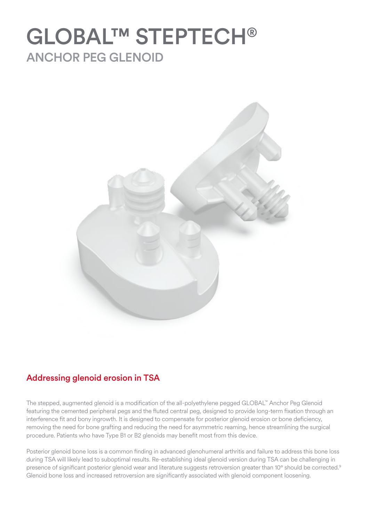## GLOBAL™ STEPTECH® ANCHOR PEG GLENOID



## Addressing glenoid erosion in TSA

The stepped, augmented glenoid is a modification of the all-polyethylene pegged GLOBAL™ Anchor Peg Glenoid featuring the cemented peripheral pegs and the fluted central peg, designed to provide long-term fixation through an interference fit and bony ingrowth. It is designed to compensate for posterior glenoid erosion or bone deficiency, removing the need for bone grafting and reducing the need for asymmetric reaming, hence streamlining the surgical procedure. Patients who have Type B1 or B2 glenoids may benefit most from this device.

Posterior glenoid bone loss is a common finding in advanced glenohumeral arthritis and failure to address this bone loss during TSA will likely lead to suboptimal results. Re-establishing ideal glenoid version during TSA can be challenging in presence of significant posterior glenoid wear and literature suggests retroversion greater than 10° should be corrected.<sup>9</sup> Glenoid bone loss and increased retroversion are significantly associated with glenoid component loosening.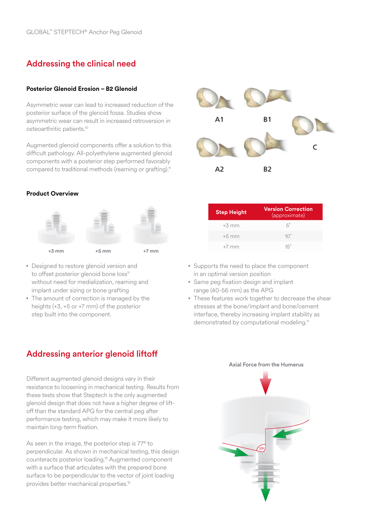## Addressing the clinical need

### **Posterior Glenoid Erosion – B2 Glenoid**

Asymmetric wear can lead to increased reduction of the posterior surface of the glenoid fossa. Studies show asymmetric wear can result in increased retroversion in osteoarthritic patients.10

Augmented glenoid components offer a solution to this difficult pathology. All-polyethylene augmented glenoid components with a posterior step performed favorably compared to traditional methods (reaming or grafting).<sup>11</sup>

### **Product Overview**



- Designed to restore glenoid version and to offset posterior glenoid bone loss<sup>11</sup> without need for medialization, reaming and implant under sizing or bone grafting
- The amount of correction is managed by the heights (+3, +5 or +7 mm) of the posterior step built into the component.

## Addressing anterior glenoid liftoff

Different augmented glenoid designs vary in their resistance to loosening in mechanical testing. Results from these tests show that Steptech is the only augmented glenoid design that does not have a higher degree of liftoff than the standard APG for the central peg after performance testing, which may make it more likely to maintain long-term fixation.

As seen in the image, the posterior step is 77° to perpendicular. As shown in mechanical testing, this design counteracts posterior loading.12 Augmented component with a surface that articulates with the prepared bone surface to be perpendicular to the vector of joint loading provides better mechanical properties.<sup>12</sup>



| <b>Step Height</b> | <b>Version Correction</b><br>(approximate) |
|--------------------|--------------------------------------------|
| $+3$ mm            | $5^\circ$                                  |
| $+5$ mm            | $10^{\circ}$                               |
| $+7$ mm            | $15^\circ$                                 |

- Supports the need to place the component in an optimal version position
- Same peg fixation design and implant range (40-56 mm) as the APG
- • These features work together to decrease the shear stresses at the bone/implant and bone/cement interface, thereby increasing implant stability as demonstrated by computational modeling.<sup>11</sup>

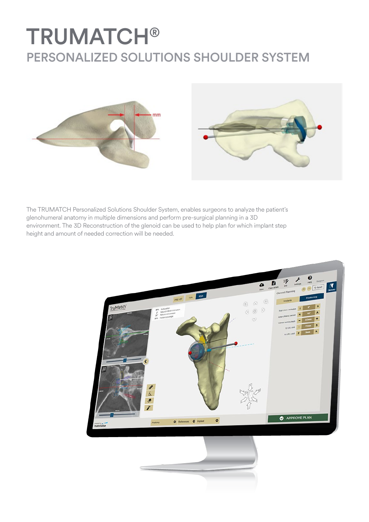## TRUMATCH® PERSONALIZED SOLUTIONS SHOULDER SYSTEM





The TRUMATCH Personalized Solutions Shoulder System, enables surgeons to analyze the patient's glenohumeral anatomy in multiple dimensions and perform pre-surgical planning in a 3D environment. The 3D Reconstruction of the glenoid can be used to help plan for which implant step height and amount of needed correction will be needed.